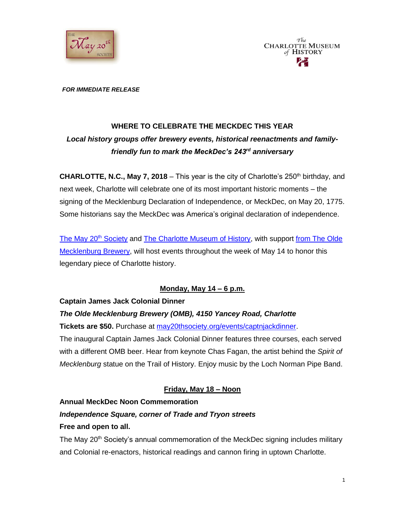



#### *FOR IMMEDIATE RELEASE*

# **WHERE TO CELEBRATE THE MECKDEC THIS YEAR** *Local history groups offer brewery events, historical reenactments and familyfriendly fun to mark the MeckDec's 243rd anniversary*

**CHARLOTTE, N.C., May 7, 2018** – This year is the city of Charlotte's 250<sup>th</sup> birthday, and next week, Charlotte will celebrate one of its most important historic moments – the signing of the Mecklenburg Declaration of Independence, or MeckDec, on May 20, 1775. Some historians say the MeckDec was America's original declaration of independence.

[The May 20](http://may20thsociety.org/)<sup>th</sup> Society and [The Charlotte Museum of History,](http://charlottemuseum.org/) with support from The Olde [Mecklenburg Brewery,](http://www.oldemeckbrew.com/) will host events throughout the week of May 14 to honor this legendary piece of Charlotte history.

### **Monday, May 14 – 6 p.m.**

### **Captain James Jack Colonial Dinner**

### *The Olde Mecklenburg Brewery (OMB), 4150 Yancey Road, Charlotte*

**Tickets are \$50.** Purchase at [may20thsociety.org/events/captnjackdinner.](http://may20thsociety.org/events/captnjackdinner/)

The inaugural Captain James Jack Colonial Dinner features three courses, each served with a different OMB beer. Hear from keynote Chas Fagan, the artist behind the *Spirit of Mecklenburg* statue on the Trail of History. Enjoy music by the Loch Norman Pipe Band.

# **Friday, May 18 – Noon**

#### **Annual MeckDec Noon Commemoration**

# *Independence Square, corner of Trade and Tryon streets*

#### **Free and open to all.**

The May 20<sup>th</sup> Society's annual commemoration of the MeckDec signing includes military and Colonial re-enactors, historical readings and cannon firing in uptown Charlotte.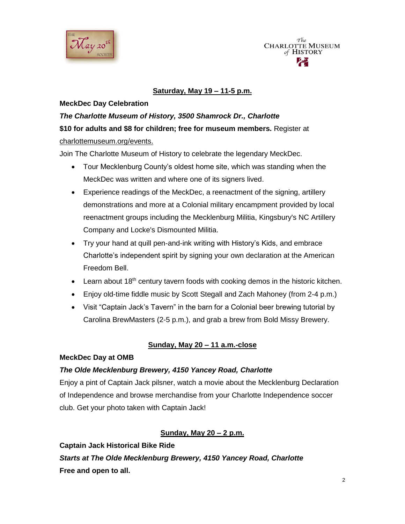



### **Saturday, May 19 – 11-5 p.m.**

### **MeckDec Day Celebration**

# *The Charlotte Museum of History, 3500 Shamrock Dr., Charlotte* **\$10 for adults and \$8 for children; free for museum members.** Register at [charlottemuseum.org/events.](http://charlottemuseum.org/tc-events/)

Join The Charlotte Museum of History to celebrate the legendary MeckDec.

- Tour Mecklenburg County's oldest home site, which was standing when the MeckDec was written and where one of its signers lived.
- Experience readings of the MeckDec, a reenactment of the signing, artillery demonstrations and more at a Colonial military encampment provided by local reenactment groups including the Mecklenburg Militia, Kingsbury's NC Artillery Company and Locke's Dismounted Militia.
- Try your hand at quill pen-and-ink writing with History's Kids, and embrace Charlotte's independent spirit by signing your own declaration at the American Freedom Bell.
- Elearn about 18<sup>th</sup> century tavern foods with cooking demos in the historic kitchen.
- Enjoy old-time fiddle music by Scott Stegall and Zach Mahoney (from 2-4 p.m.)
- Visit "Captain Jack's Tavern" in the barn for a Colonial beer brewing tutorial by Carolina BrewMasters (2-5 p.m.), and grab a brew from Bold Missy Brewery.

# **Sunday, May 20 – 11 a.m.-close**

### **MeckDec Day at OMB**

### *The Olde Mecklenburg Brewery, 4150 Yancey Road, Charlotte*

Enjoy a pint of Captain Jack pilsner, watch a movie about the Mecklenburg Declaration of Independence and browse merchandise from your Charlotte Independence soccer club. Get your photo taken with Captain Jack!

# **Sunday, May 20 – 2 p.m.**

**Captain Jack Historical Bike Ride** *Starts at The Olde Mecklenburg Brewery, 4150 Yancey Road, Charlotte* **Free and open to all.**